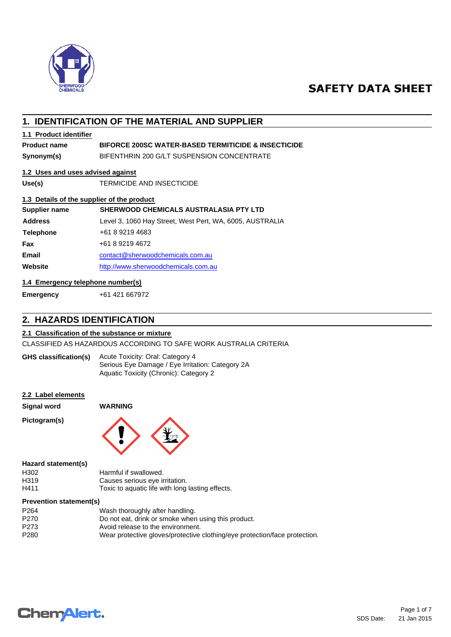

# **SAFETY DATA SHEET**

# **1. IDENTIFICATION OF THE MATERIAL AND SUPPLIER**

## **1.1 Product identifier**

## **Product name BIFORCE 200SC WATER-BASED TERMITICIDE & INSECTICIDE**

**Synonym(s)** BIFENTHRIN 200 G/LT SUSPENSION CONCENTRATE

#### **1.2 Uses and uses advised against**

**Use(s)** TERMICIDE AND INSECTICIDE

#### **1.3 Details of the supplier of the product**

| Supplier name    | <b>SHERWOOD CHEMICALS AUSTRALASIA PTY LTD</b>            |  |
|------------------|----------------------------------------------------------|--|
| <b>Address</b>   | Level 3, 1060 Hay Street, West Pert, WA, 6005, AUSTRALIA |  |
| <b>Telephone</b> | +61 8 9219 4683                                          |  |
| Fax              | +61 8 9219 4672                                          |  |
| <b>Email</b>     | contact@sherwoodchemicals.com.au                         |  |
| Website          | http://www.sherwoodchemicals.com.au                      |  |

## **1.4 Emergency telephone number(s)**

**Emergency** +61 421 667972

# **2. HAZARDS IDENTIFICATION**

### **2.1 Classification of the substance or mixture**

CLASSIFIED AS HAZARDOUS ACCORDING TO SAFE WORK AUSTRALIA CRITERIA

Acute Toxicity: Oral: Category 4 Serious Eye Damage / Eye Irritation: Category 2A Aquatic Toxicity (Chronic): Category 2 **GHS classification(s)**

#### **2.2 Label elements**

**Signal word WARNING**

**Pictogram(s)**



#### **Hazard statement(s)**

| H302 | Harmful if swallowed.                            |
|------|--------------------------------------------------|
| H319 | Causes serious eye irritation.                   |
| H411 | Toxic to aquatic life with long lasting effects. |

#### **Prevention statement(s)**

| P <sub>264</sub> | Wash thoroughly after handling.                                            |
|------------------|----------------------------------------------------------------------------|
| P270             | Do not eat, drink or smoke when using this product.                        |
| P273             | Avoid release to the environment.                                          |
| P280             | Wear protective gloves/protective clothing/eye protection/face protection. |
|                  |                                                                            |

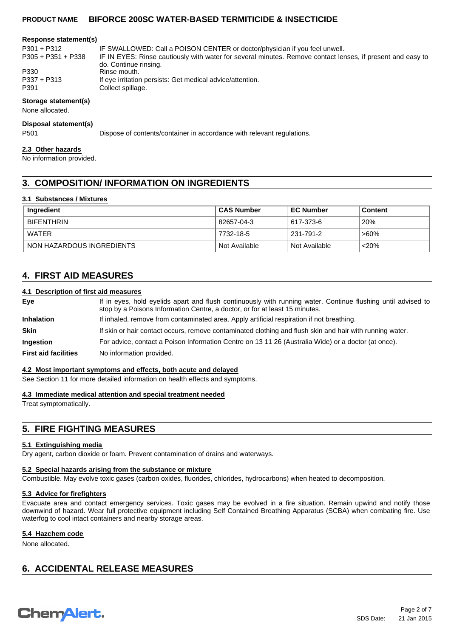#### **Response statement(s)**

| $P301 + P312$        | IF SWALLOWED: Call a POISON CENTER or doctor/physician if you feel unwell.                                 |
|----------------------|------------------------------------------------------------------------------------------------------------|
| $P305 + P351 + P338$ | IF IN EYES: Rinse cautiously with water for several minutes. Remove contact lenses, if present and easy to |
|                      | do. Continue rinsing.                                                                                      |
| P330                 | Rinse mouth.                                                                                               |
| P337 + P313          | If eye irritation persists: Get medical advice/attention.                                                  |
| P391                 | Collect spillage.                                                                                          |

#### **Storage statement(s)**

None allocated.

#### **Disposal statement(s)**

P501 Dispose of contents/container in accordance with relevant regulations.

#### **2.3 Other hazards**

No information provided.

## **3. COMPOSITION/ INFORMATION ON INGREDIENTS**

#### **3.1 Substances / Mixtures**

| Ingredient                | <b>CAS Number</b> | <b>EC Number</b> | <b>Content</b> |
|---------------------------|-------------------|------------------|----------------|
| <b>BIFENTHRIN</b>         | 82657-04-3        | 617-373-6        | 20%            |
| WATER                     | 7732-18-5         | 231-791-2        | ່>60%          |
| NON HAZARDOUS INGREDIENTS | Not Available     | Not Available    | $<$ 20%        |

## **4. FIRST AID MEASURES**

#### **4.1 Description of first aid measures**

| Eye                         | If in eyes, hold eyelids apart and flush continuously with running water. Continue flushing until advised to<br>stop by a Poisons Information Centre, a doctor, or for at least 15 minutes. |  |
|-----------------------------|---------------------------------------------------------------------------------------------------------------------------------------------------------------------------------------------|--|
| <b>Inhalation</b>           | If inhaled, remove from contaminated area. Apply artificial respiration if not breathing.                                                                                                   |  |
| <b>Skin</b>                 | If skin or hair contact occurs, remove contaminated clothing and flush skin and hair with running water.                                                                                    |  |
| Ingestion                   | For advice, contact a Poison Information Centre on 13 11 26 (Australia Wide) or a doctor (at once).                                                                                         |  |
| <b>First aid facilities</b> | No information provided.                                                                                                                                                                    |  |

#### **4.2 Most important symptoms and effects, both acute and delayed**

See Section 11 for more detailed information on health effects and symptoms.

#### **4.3 Immediate medical attention and special treatment needed**

Treat symptomatically.

## **5. FIRE FIGHTING MEASURES**

#### **5.1 Extinguishing media**

Dry agent, carbon dioxide or foam. Prevent contamination of drains and waterways.

#### **5.2 Special hazards arising from the substance or mixture**

Combustible. May evolve toxic gases (carbon oxides, fluorides, chlorides, hydrocarbons) when heated to decomposition.

#### **5.3 Advice for firefighters**

Evacuate area and contact emergency services. Toxic gases may be evolved in a fire situation. Remain upwind and notify those downwind of hazard. Wear full protective equipment including Self Contained Breathing Apparatus (SCBA) when combating fire. Use waterfog to cool intact containers and nearby storage areas.

## **5.4 Hazchem code**

None allocated.

# **6. ACCIDENTAL RELEASE MEASURES**

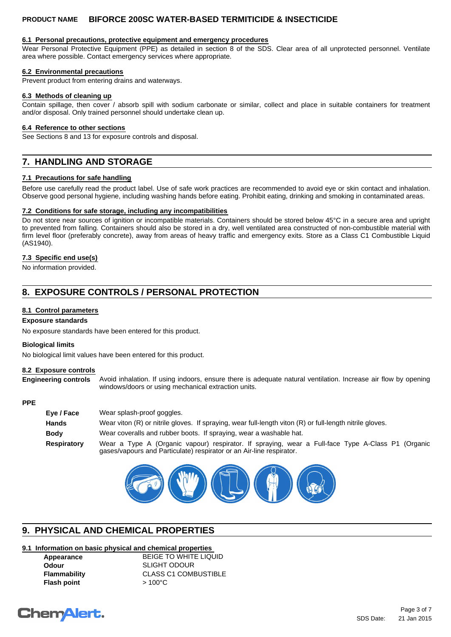#### **6.1 Personal precautions, protective equipment and emergency procedures**

Wear Personal Protective Equipment (PPE) as detailed in section 8 of the SDS. Clear area of all unprotected personnel. Ventilate area where possible. Contact emergency services where appropriate.

#### **6.2 Environmental precautions**

Prevent product from entering drains and waterways.

#### **6.3 Methods of cleaning up**

Contain spillage, then cover / absorb spill with sodium carbonate or similar, collect and place in suitable containers for treatment and/or disposal. Only trained personnel should undertake clean up.

#### **6.4 Reference to other sections**

See Sections 8 and 13 for exposure controls and disposal.

# **7. HANDLING AND STORAGE**

#### **7.1 Precautions for safe handling**

Before use carefully read the product label. Use of safe work practices are recommended to avoid eye or skin contact and inhalation. Observe good personal hygiene, including washing hands before eating. Prohibit eating, drinking and smoking in contaminated areas.

#### **7.2 Conditions for safe storage, including any incompatibilities**

Do not store near sources of ignition or incompatible materials. Containers should be stored below 45°C in a secure area and upright to prevented from falling. Containers should also be stored in a dry, well ventilated area constructed of non-combustible material with firm level floor (preferably concrete), away from areas of heavy traffic and emergency exits. Store as a Class C1 Combustible Liquid (AS1940).

#### **7.3 Specific end use(s)**

No information provided.

# **8. EXPOSURE CONTROLS / PERSONAL PROTECTION**

#### **8.1 Control parameters**

#### **Exposure standards**

No exposure standards have been entered for this product.

#### **Biological limits**

No biological limit values have been entered for this product.

#### **8.2 Exposure controls**

**Engineering controls** Avoid inhalation. If using indoors, ensure there is adequate natural ventilation. Increase air flow by opening windows/doors or using mechanical extraction units.

#### **PPE**

| Eye / Face   | Wear splash-proof goggles.                                                                                                                                                |
|--------------|---------------------------------------------------------------------------------------------------------------------------------------------------------------------------|
| <b>Hands</b> | Wear viton (R) or nitrile gloves. If spraying, wear full-length viton (R) or full-length nitrile gloves.                                                                  |
| <b>Body</b>  | Wear coveralls and rubber boots. If spraying, wear a washable hat.                                                                                                        |
| Respiratory  | Wear a Type A (Organic vapour) respirator. If spraying, wear a Full-face Type A-Class P1 (Organic<br>gases/vapours and Particulate) respirator or an Air-line respirator. |



# **9. PHYSICAL AND CHEMICAL PROPERTIES**

## **9.1 Information on basic physical and chemical properties**

| Appearance         |  |
|--------------------|--|
| Odour              |  |
| Flammability       |  |
| <b>Flash point</b> |  |

**BEIGE TO WHITE LIQUID Odour** SLIGHT ODOUR **CLASS C1 COMBUSTIBLE Flash point** > 100°C

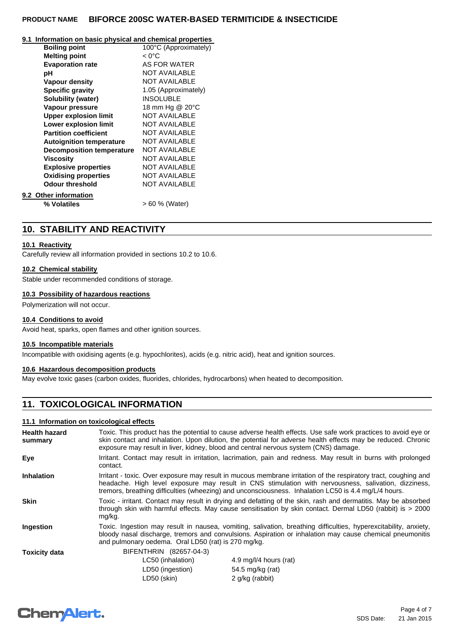#### **9.1 Information on basic physical and chemical properties**

|                                  | 100°C (Approximately) |
|----------------------------------|-----------------------|
| <b>Boiling point</b>             |                       |
| <b>Melting point</b>             | $< 0^{\circ}$ C       |
| <b>Evaporation rate</b>          | AS FOR WATER          |
| рH                               | <b>NOT AVAILABLE</b>  |
| Vapour density                   | <b>NOT AVAILABLE</b>  |
| <b>Specific gravity</b>          | 1.05 (Approximately)  |
| <b>Solubility (water)</b>        | <b>INSOLUBLE</b>      |
| Vapour pressure                  | 18 mm Hg @ 20°C       |
| <b>Upper explosion limit</b>     | <b>NOT AVAILABLE</b>  |
| <b>Lower explosion limit</b>     | <b>NOT AVAILABLE</b>  |
| <b>Partition coefficient</b>     | <b>NOT AVAILABLE</b>  |
| <b>Autoignition temperature</b>  | <b>NOT AVAILABLE</b>  |
| <b>Decomposition temperature</b> | <b>NOT AVAILABLE</b>  |
| Viscositv                        | <b>NOT AVAILABLE</b>  |
| <b>Explosive properties</b>      | <b>NOT AVAILABLE</b>  |
| <b>Oxidising properties</b>      | <b>NOT AVAILABLE</b>  |
| <b>Odour threshold</b>           | <b>NOT AVAILABLE</b>  |
| 9.2 Other information            |                       |
| % Volatiles                      | > 60 % (Water)        |
|                                  |                       |

# **10. STABILITY AND REACTIVITY**

### **10.1 Reactivity**

Carefully review all information provided in sections 10.2 to 10.6.

#### **10.2 Chemical stability**

Stable under recommended conditions of storage.

#### **10.3 Possibility of hazardous reactions**

Polymerization will not occur.

#### **10.4 Conditions to avoid**

Avoid heat, sparks, open flames and other ignition sources.

### **10.5 Incompatible materials**

Incompatible with oxidising agents (e.g. hypochlorites), acids (e.g. nitric acid), heat and ignition sources.

#### **10.6 Hazardous decomposition products**

May evolve toxic gases (carbon oxides, fluorides, chlorides, hydrocarbons) when heated to decomposition.

## **11. TOXICOLOGICAL INFORMATION**

#### **11.1 Information on toxicological effects**

| <b>Health hazard</b><br>summary | Toxic. This product has the potential to cause adverse health effects. Use safe work practices to avoid eye or<br>skin contact and inhalation. Upon dilution, the potential for adverse health effects may be reduced. Chronic                                                                                                  |                        |  |
|---------------------------------|---------------------------------------------------------------------------------------------------------------------------------------------------------------------------------------------------------------------------------------------------------------------------------------------------------------------------------|------------------------|--|
|                                 | exposure may result in liver, kidney, blood and central nervous system (CNS) damage.                                                                                                                                                                                                                                            |                        |  |
| Eye                             | Irritant. Contact may result in irritation, lacrimation, pain and redness. May result in burns with prolonged<br>contact.                                                                                                                                                                                                       |                        |  |
| <b>Inhalation</b>               | Irritant - toxic. Over exposure may result in mucous membrane irritation of the respiratory tract, coughing and<br>headache. High level exposure may result in CNS stimulation with nervousness, salivation, dizziness,<br>tremors, breathing difficulties (wheezing) and unconsciousness. Inhalation LC50 is 4.4 mg/L/4 hours. |                        |  |
| <b>Skin</b>                     | Toxic - irritant. Contact may result in drying and defatting of the skin, rash and dermatitis. May be absorbed<br>through skin with harmful effects. May cause sensitisation by skin contact. Dermal LD50 (rabbit) is > 2000<br>mg/kg.                                                                                          |                        |  |
| Ingestion                       | Toxic. Ingestion may result in nausea, vomiting, salivation, breathing difficulties, hyperexcitability, anxiety,<br>bloody nasal discharge, tremors and convulsions. Aspiration or inhalation may cause chemical pneumonitis<br>and pulmonary oedema. Oral LD50 (rat) is 270 mg/kg.                                             |                        |  |
| <b>Toxicity data</b>            | BIFENTHRIN (82657-04-3)                                                                                                                                                                                                                                                                                                         |                        |  |
|                                 | LC50 (inhalation)                                                                                                                                                                                                                                                                                                               | 4.9 mg/l/4 hours (rat) |  |
|                                 | LD50 (ingestion)                                                                                                                                                                                                                                                                                                                | 54.5 mg/kg (rat)       |  |
|                                 | LD50 (skin)                                                                                                                                                                                                                                                                                                                     | 2 g/kg (rabbit)        |  |

# **Chemalert.**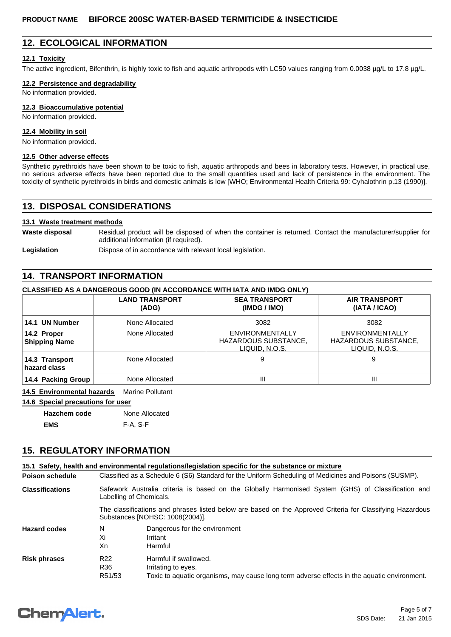## **12. ECOLOGICAL INFORMATION**

#### **12.1 Toxicity**

The active ingredient, Bifenthrin, is highly toxic to fish and aquatic arthropods with LC50 values ranging from 0.0038  $\mu q/L$  to 17.8  $\mu q/L$ .

#### **12.2 Persistence and degradability**

No information provided.

#### **12.3 Bioaccumulative potential**

No information provided.

#### **12.4 Mobility in soil**

No information provided.

#### **12.5 Other adverse effects**

Synthetic pyrethroids have been shown to be toxic to fish, aquatic arthropods and bees in laboratory tests. However, in practical use, no serious adverse effects have been reported due to the small quantities used and lack of persistence in the environment. The toxicity of synthetic pyrethroids in birds and domestic animals is low [WHO; Environmental Health Criteria 99: Cyhalothrin p.13 (1990)].

## **13. DISPOSAL CONSIDERATIONS**

#### **13.1 Waste treatment methods**

Waste disposal Residual product will be disposed of when the container is returned. Contact the manufacturer/supplier for additional information (if required).

Legislation **Dispose of in accordance with relevant local legislation.** 

## **14. TRANSPORT INFORMATION**

#### **CLASSIFIED AS A DANGEROUS GOOD (IN ACCORDANCE WITH IATA AND IMDG ONLY)**

|                                     | <b>LAND TRANSPORT</b><br>(ADG) | <b>SEA TRANSPORT</b><br>(IMDG / IMO)                             | <b>AIR TRANSPORT</b><br>(IATA / ICAO)                            |
|-------------------------------------|--------------------------------|------------------------------------------------------------------|------------------------------------------------------------------|
| 14.1 UN Number                      | None Allocated                 | 3082                                                             | 3082                                                             |
| 14.2 Proper<br><b>Shipping Name</b> | None Allocated                 | <b>ENVIRONMENTALLY</b><br>HAZARDOUS SUBSTANCE,<br>LIQUID, N.O.S. | <b>ENVIRONMENTALLY</b><br>HAZARDOUS SUBSTANCE,<br>LIQUID, N.O.S. |
| 14.3 Transport<br>hazard class      | None Allocated                 | 9                                                                | 9                                                                |
| 14.4 Packing Group                  | None Allocated                 | Ш                                                                | Ш                                                                |

**14.5 Environmental hazards** Marine Pollutant

# **14.6 Special precautions for user**

| Hazchem code | None Allocated |
|--------------|----------------|
| EMS          | F-A. S-F       |

## **15. REGULATORY INFORMATION**

|                        |                                                                                                                                              | 15.1 Safety, health and environmental requiations/legislation specific for the substance or mixture |  |  |
|------------------------|----------------------------------------------------------------------------------------------------------------------------------------------|-----------------------------------------------------------------------------------------------------|--|--|
| <b>Poison schedule</b> | Classified as a Schedule 6 (S6) Standard for the Uniform Scheduling of Medicines and Poisons (SUSMP).                                        |                                                                                                     |  |  |
| <b>Classifications</b> | Safework Australia criteria is based on the Globally Harmonised System (GHS) of Classification and<br>Labelling of Chemicals.                |                                                                                                     |  |  |
|                        | The classifications and phrases listed below are based on the Approved Criteria for Classifying Hazardous<br>Substances [NOHSC: 1008(2004)]. |                                                                                                     |  |  |
| <b>Hazard codes</b>    | N                                                                                                                                            | Dangerous for the environment                                                                       |  |  |
|                        | Xi                                                                                                                                           | Irritant                                                                                            |  |  |
|                        | Xn                                                                                                                                           | Harmful                                                                                             |  |  |
| <b>Risk phrases</b>    | R <sub>22</sub>                                                                                                                              | Harmful if swallowed.                                                                               |  |  |
|                        | R36                                                                                                                                          | Irritating to eyes.                                                                                 |  |  |
|                        | R51/53                                                                                                                                       | Toxic to aquatic organisms, may cause long term adverse effects in the aquatic environment.         |  |  |

# **ChemAlert.**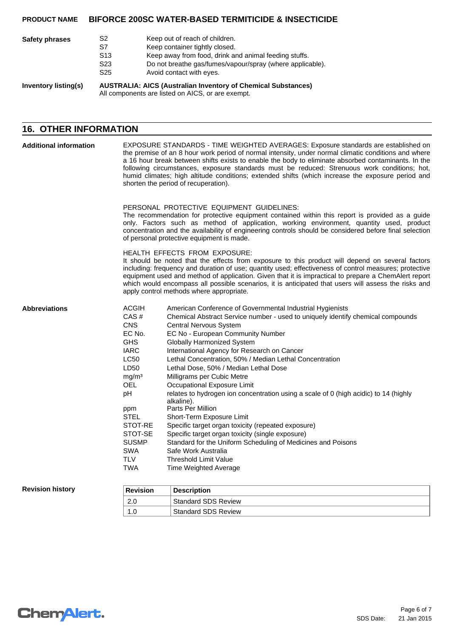| <b>Safety phrases</b>       | S2<br>S7                                                                                                                  | Keep out of reach of children.<br>Keep container tightly closed.                      |  |
|-----------------------------|---------------------------------------------------------------------------------------------------------------------------|---------------------------------------------------------------------------------------|--|
|                             | S <sub>13</sub>                                                                                                           | Keep away from food, drink and animal feeding stuffs.                                 |  |
|                             | S23<br>S <sub>25</sub>                                                                                                    | Do not breathe gas/fumes/vapour/spray (where applicable).<br>Avoid contact with eyes. |  |
| <b>Inventory listing(s)</b> | <b>AUSTRALIA: AICS (Australian Inventory of Chemical Substances)</b><br>All components are listed on AICS, or are exempt. |                                                                                       |  |

# **16. OTHER INFORMATION**

| <b>Additional information</b> | EXPOSURE STANDARDS - TIME WEIGHTED AVERAGES: Exposure standards are established on<br>the premise of an 8 hour work period of normal intensity, under normal climatic conditions and where<br>a 16 hour break between shifts exists to enable the body to eliminate absorbed contaminants. In the<br>following circumstances, exposure standards must be reduced: Strenuous work conditions; hot,<br>humid climates; high altitude conditions; extended shifts (which increase the exposure period and<br>shorten the period of recuperation). |                                                                                                                                                                                                                                                                                                                                                                                                                                                                                                                                                                                                                                                                                                                                                                                                                                                                                    |  |  |  |  |
|-------------------------------|------------------------------------------------------------------------------------------------------------------------------------------------------------------------------------------------------------------------------------------------------------------------------------------------------------------------------------------------------------------------------------------------------------------------------------------------------------------------------------------------------------------------------------------------|------------------------------------------------------------------------------------------------------------------------------------------------------------------------------------------------------------------------------------------------------------------------------------------------------------------------------------------------------------------------------------------------------------------------------------------------------------------------------------------------------------------------------------------------------------------------------------------------------------------------------------------------------------------------------------------------------------------------------------------------------------------------------------------------------------------------------------------------------------------------------------|--|--|--|--|
|                               | PERSONAL PROTECTIVE EQUIPMENT GUIDELINES:<br>The recommendation for protective equipment contained within this report is provided as a guide<br>only. Factors such as method of application, working environment, quantity used, product<br>concentration and the availability of engineering controls should be considered before final selection<br>of personal protective equipment is made.                                                                                                                                                |                                                                                                                                                                                                                                                                                                                                                                                                                                                                                                                                                                                                                                                                                                                                                                                                                                                                                    |  |  |  |  |
|                               | HEALTH EFFECTS FROM EXPOSURE:<br>It should be noted that the effects from exposure to this product will depend on several factors<br>including: frequency and duration of use; quantity used; effectiveness of control measures; protective<br>equipment used and method of application. Given that it is impractical to prepare a ChemAlert report<br>which would encompass all possible scenarios, it is anticipated that users will assess the risks and<br>apply control methods where appropriate.                                        |                                                                                                                                                                                                                                                                                                                                                                                                                                                                                                                                                                                                                                                                                                                                                                                                                                                                                    |  |  |  |  |
| <b>Abbreviations</b>          | <b>ACGIH</b><br>CAS#<br><b>CNS</b><br>EC No.<br><b>GHS</b><br><b>IARC</b><br><b>LC50</b><br>LD50<br>mg/m <sup>3</sup><br><b>OEL</b><br>pH<br>ppm<br><b>STEL</b><br>STOT-RE<br>STOT-SE<br><b>SUSMP</b><br><b>SWA</b><br><b>TLV</b><br>TWA                                                                                                                                                                                                                                                                                                       | American Conference of Governmental Industrial Hygienists<br>Chemical Abstract Service number - used to uniquely identify chemical compounds<br>Central Nervous System<br>EC No - European Community Number<br><b>Globally Harmonized System</b><br>International Agency for Research on Cancer<br>Lethal Concentration, 50% / Median Lethal Concentration<br>Lethal Dose, 50% / Median Lethal Dose<br>Milligrams per Cubic Metre<br>Occupational Exposure Limit<br>relates to hydrogen ion concentration using a scale of 0 (high acidic) to 14 (highly<br>alkaline).<br>Parts Per Million<br>Short-Term Exposure Limit<br>Specific target organ toxicity (repeated exposure)<br>Specific target organ toxicity (single exposure)<br>Standard for the Uniform Scheduling of Medicines and Poisons<br>Safe Work Australia<br><b>Threshold Limit Value</b><br>Time Weighted Average |  |  |  |  |
| <b>Revision history</b>       | <b>Revision</b>                                                                                                                                                                                                                                                                                                                                                                                                                                                                                                                                | <b>Description</b>                                                                                                                                                                                                                                                                                                                                                                                                                                                                                                                                                                                                                                                                                                                                                                                                                                                                 |  |  |  |  |
|                               | 2.0                                                                                                                                                                                                                                                                                                                                                                                                                                                                                                                                            | <b>Standard SDS Review</b>                                                                                                                                                                                                                                                                                                                                                                                                                                                                                                                                                                                                                                                                                                                                                                                                                                                         |  |  |  |  |

1.0 Standard SDS Review